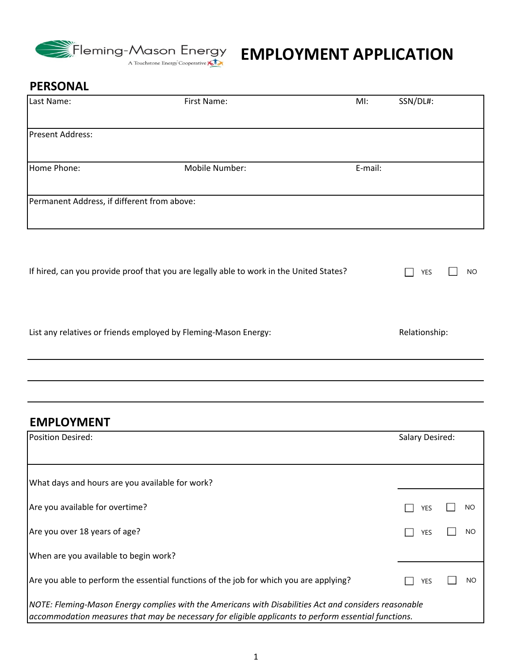

### **PERSONAL**

| Last Name:                                  | First Name:                                                                             | $M!$ :  | SSN/DL#: |           |
|---------------------------------------------|-----------------------------------------------------------------------------------------|---------|----------|-----------|
| <b>Present Address:</b>                     |                                                                                         |         |          |           |
| Home Phone:                                 | Mobile Number:                                                                          | E-mail: |          |           |
| Permanent Address, if different from above: |                                                                                         |         |          |           |
|                                             | If hired, can you provide proof that you are legally able to work in the United States? |         | YES      | <b>NO</b> |

List any relatives or friends employed by Fleming-Mason Energy: Relationship: Relationship:

### **EMPLOYMENT**

| <b>Position Desired:</b>                                                                                                                                                                                      |            | Salary Desired: |  |  |
|---------------------------------------------------------------------------------------------------------------------------------------------------------------------------------------------------------------|------------|-----------------|--|--|
|                                                                                                                                                                                                               |            |                 |  |  |
| What days and hours are you available for work?                                                                                                                                                               |            |                 |  |  |
| Are you available for overtime?                                                                                                                                                                               | YES        | NO              |  |  |
| Are you over 18 years of age?                                                                                                                                                                                 | <b>YES</b> | <b>NO</b>       |  |  |
| When are you available to begin work?                                                                                                                                                                         |            |                 |  |  |
| Are you able to perform the essential functions of the job for which you are applying?                                                                                                                        | YES        | NO.             |  |  |
| NOTE: Fleming-Mason Energy complies with the Americans with Disabilities Act and considers reasonable<br>accommodation measures that may be necessary for eligible applicants to perform essential functions. |            |                 |  |  |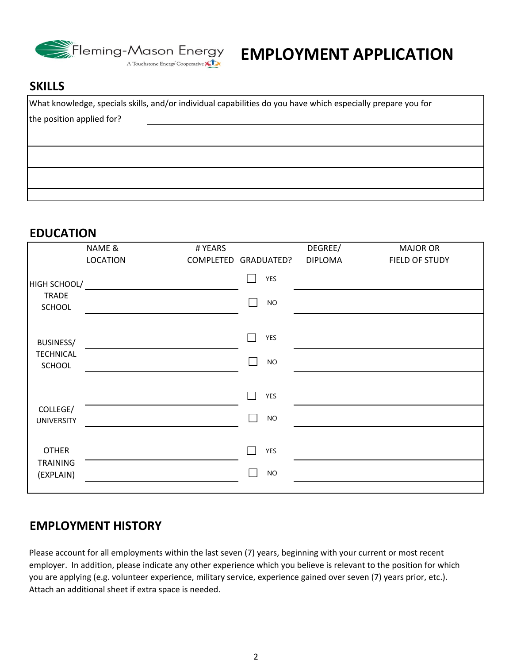

# **EMPLOYMENT APPLICATION**

#### **SKILLS**

What knowledge, specials skills, and/or individual capabilities do you have which especially prepare you for the position applied for?

#### **EDUCATION**

|                                              | NAME &          | # YEARS |                              | DEGREE/        | <b>MAJOR OR</b> |
|----------------------------------------------|-----------------|---------|------------------------------|----------------|-----------------|
|                                              | <b>LOCATION</b> |         | COMPLETED GRADUATED?         | <b>DIPLOMA</b> | FIELD OF STUDY  |
| HIGH SCHOOL/<br><b>TRADE</b><br>SCHOOL       |                 |         | YES<br><b>NO</b><br>$\sim$ 1 |                |                 |
| <b>BUSINESS/</b>                             |                 |         | YES                          |                |                 |
| <b>TECHNICAL</b><br>SCHOOL                   |                 |         | $NO$<br>$\sim$ 1             |                |                 |
|                                              |                 |         | YES<br>$\sim$                |                |                 |
| COLLEGE/<br><b>UNIVERSITY</b>                |                 |         | $NO$                         |                |                 |
| <b>OTHER</b><br><b>TRAINING</b><br>(EXPLAIN) |                 |         | YES<br>$NO$                  |                |                 |
|                                              |                 |         |                              |                |                 |

#### **EMPLOYMENT HISTORY**

Please account for all employments within the last seven (7) years, beginning with your current or most recent employer. In addition, please indicate any other experience which you believe is relevant to the position for which you are applying (e.g. volunteer experience, military service, experience gained over seven (7) years prior, etc.). Attach an additional sheet if extra space is needed.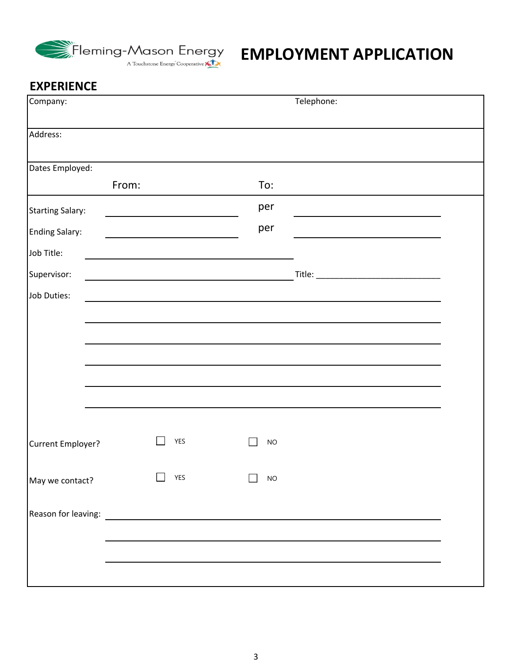

| Company:                |            |           | Telephone: |  |
|-------------------------|------------|-----------|------------|--|
| Address:                |            |           |            |  |
| Dates Employed:         |            |           |            |  |
|                         | From:      | To:       |            |  |
| <b>Starting Salary:</b> |            | per       |            |  |
| <b>Ending Salary:</b>   |            | per       |            |  |
| Job Title:              |            |           |            |  |
| Supervisor:             |            |           |            |  |
| Job Duties:             |            |           |            |  |
|                         |            |           |            |  |
|                         |            |           |            |  |
|                         |            |           |            |  |
|                         |            |           |            |  |
|                         |            |           |            |  |
|                         |            |           |            |  |
| Current Employer?       | <b>YES</b> | <b>NO</b> |            |  |
| May we contact?         | <b>YES</b> | NO        |            |  |
|                         |            |           |            |  |
|                         |            |           |            |  |
|                         |            |           |            |  |
|                         |            |           |            |  |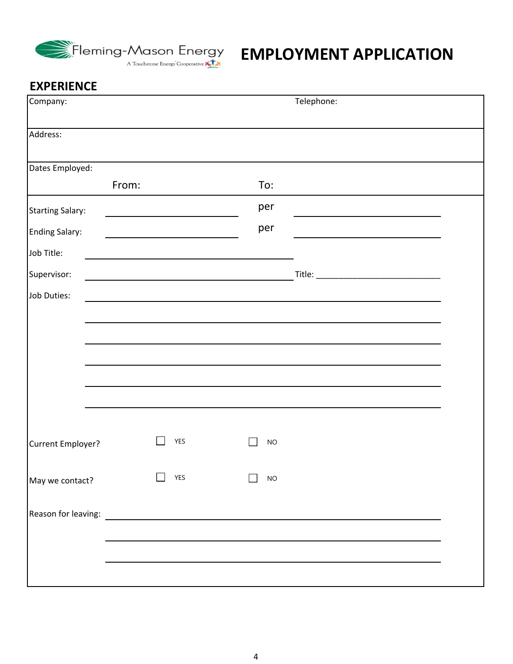

| Company:                |            |           | Telephone: |  |
|-------------------------|------------|-----------|------------|--|
| Address:                |            |           |            |  |
| Dates Employed:         |            |           |            |  |
|                         | From:      | To:       |            |  |
| <b>Starting Salary:</b> |            | per       |            |  |
| <b>Ending Salary:</b>   |            | per       |            |  |
| Job Title:              |            |           |            |  |
| Supervisor:             |            |           |            |  |
| Job Duties:             |            |           |            |  |
|                         |            |           |            |  |
|                         |            |           |            |  |
|                         |            |           |            |  |
|                         |            |           |            |  |
|                         |            |           |            |  |
|                         |            |           |            |  |
| Current Employer?       | <b>YES</b> | <b>NO</b> |            |  |
| May we contact?         | <b>YES</b> | NO        |            |  |
|                         |            |           |            |  |
|                         |            |           |            |  |
|                         |            |           |            |  |
|                         |            |           |            |  |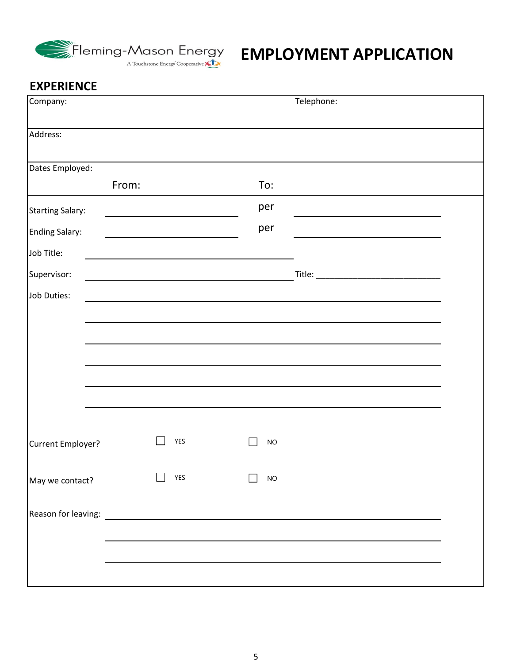

| Company:                |            |           | Telephone: |  |
|-------------------------|------------|-----------|------------|--|
| Address:                |            |           |            |  |
| Dates Employed:         |            |           |            |  |
|                         | From:      | To:       |            |  |
| <b>Starting Salary:</b> |            | per       |            |  |
| <b>Ending Salary:</b>   |            | per       |            |  |
| Job Title:              |            |           |            |  |
| Supervisor:             |            |           |            |  |
| Job Duties:             |            |           |            |  |
|                         |            |           |            |  |
|                         |            |           |            |  |
|                         |            |           |            |  |
|                         |            |           |            |  |
|                         |            |           |            |  |
|                         |            |           |            |  |
| Current Employer?       | <b>YES</b> | <b>NO</b> |            |  |
| May we contact?         | <b>YES</b> | NO        |            |  |
|                         |            |           |            |  |
|                         |            |           |            |  |
|                         |            |           |            |  |
|                         |            |           |            |  |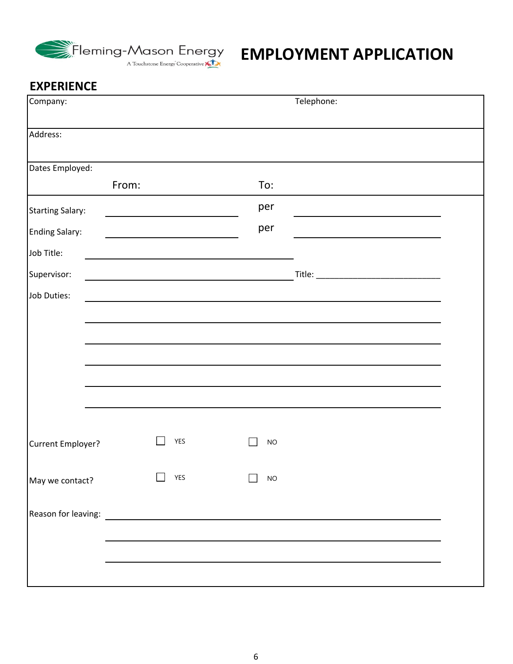

| Company:                |                                                                                                                      | Telephone: |  |
|-------------------------|----------------------------------------------------------------------------------------------------------------------|------------|--|
| Address:                |                                                                                                                      |            |  |
| Dates Employed:         |                                                                                                                      |            |  |
| From:                   |                                                                                                                      | To:        |  |
| <b>Starting Salary:</b> |                                                                                                                      | per        |  |
| <b>Ending Salary:</b>   |                                                                                                                      | per        |  |
| Job Title:              |                                                                                                                      |            |  |
| Supervisor:             |                                                                                                                      |            |  |
| Job Duties:             |                                                                                                                      |            |  |
|                         |                                                                                                                      |            |  |
|                         |                                                                                                                      |            |  |
|                         |                                                                                                                      |            |  |
|                         |                                                                                                                      |            |  |
|                         |                                                                                                                      |            |  |
|                         |                                                                                                                      |            |  |
| Current Employer?       | <b>YES</b>                                                                                                           | <b>NO</b>  |  |
|                         |                                                                                                                      |            |  |
| May we contact?         | YES                                                                                                                  | <b>NO</b>  |  |
| Reason for leaving:     | <u> 1989 - Jan Samuel Barbara, prima populație de la provincia de la provincia de la provincia de la provincia d</u> |            |  |
|                         |                                                                                                                      |            |  |
|                         |                                                                                                                      |            |  |
|                         |                                                                                                                      |            |  |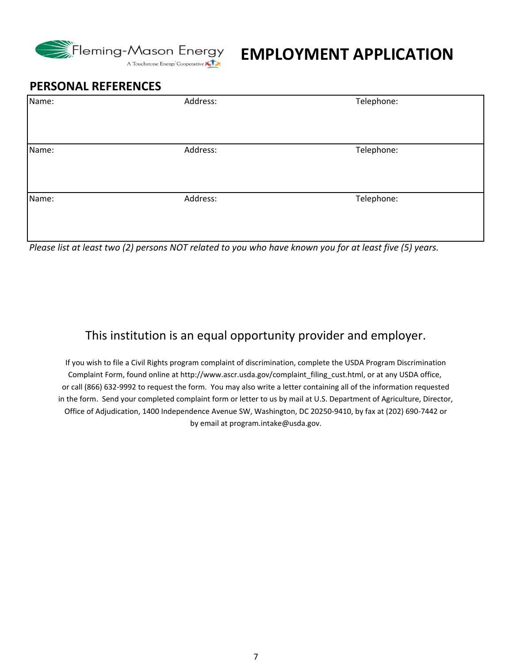

## **EMPLOYMENT APPLICATION**

#### **PERSONAL REFERENCES**

| Name: | Address: | Telephone: |
|-------|----------|------------|
| Name: | Address: | Telephone: |
|       |          |            |
| Name: | Address: | Telephone: |
|       |          |            |

Please list at least two (2) persons NOT related to you who have known you for at least five (5) years.

### This institution is an equal opportunity provider and employer.

in the form. Send your completed complaint form or letter to us by mail at U.S. Department of Agriculture, Director, Office of Adjudication, 1400 Independence Avenue SW, Washington, DC 20250‐9410, by fax at (202) 690‐7442 or by email at program.intake@usda.gov. If you wish to file a Civil Rights program complaint of discrimination, complete the USDA Program Discrimination Complaint Form, found online at http://www.ascr.usda.gov/complaint\_filing\_cust.html, or at any USDA office, or call (866) 632‐9992 to request the form. You may also write a letter containing all of the information requested